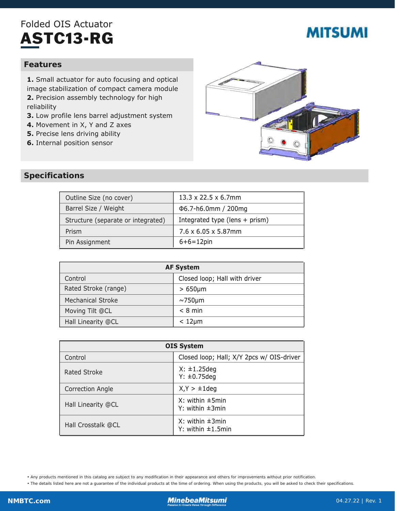## Folded OIS Actuator ASTC13-RG

# **MITSUMI**

#### **Features**

**1.** Small actuator for auto focusing and optical image stabilization of compact camera module **2.** Precision assembly technology for high reliability

- **3.** Low profile lens barrel adjustment system
- **4.** Movement in X, Y and Z axes
- **5.** Precise lens driving ability
- **6.** Internal position sensor



#### **Specifications**

| Outline Size (no cover)            | 13.3 x 22.5 x 6.7mm              |
|------------------------------------|----------------------------------|
| Barrel Size / Weight               | $\Phi$ 6.7-h6.0mm / 200mg        |
| Structure (separate or integrated) | Integrated type (lens $+$ prism) |
| Prism                              | $7.6 \times 6.05 \times 5.87$ mm |
| Pin Assignment                     | $6+6=12$ pin                     |

| <b>AF System</b>         |                               |  |
|--------------------------|-------------------------------|--|
| Control                  | Closed loop; Hall with driver |  |
| Rated Stroke (range)     | $>650 \mu m$                  |  |
| <b>Mechanical Stroke</b> | $\sim$ 750µm                  |  |
| Moving Tilt @CL          | $< 8$ min                     |  |
| Hall Linearity @CL       | $< 12 \mu m$                  |  |

| <b>OIS System</b>       |                                                 |
|-------------------------|-------------------------------------------------|
| Control                 | Closed loop; Hall; X/Y 2pcs w/ OIS-driver       |
| Rated Stroke            | $X: \pm 1.25$ deg<br>$Y: \pm 0.75$ deg          |
| <b>Correction Angle</b> | $X, Y > \pm 1$ deg                              |
| Hall Linearity @CL      | $X:$ within $\pm$ 5min<br>Y: within $\pm 3$ min |
| Hall Crosstalk @CL      | $X:$ within $\pm 3$ min<br>Y: within ±1.5min    |

• Any products mentioned in this catalog are subject to any modification in their appearance and others for improvements without prior notification.

• The details listed here are not a guarantee of the individual products at the time of ordering. When using the products, you will be asked to check their specifications.